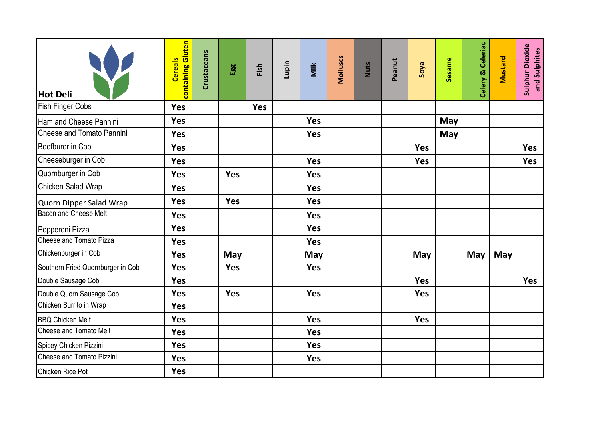| <b>Hot Deli</b>                   | containing Gluten<br><b>Cereals</b> | Crustaceans | Egg        | Fish       | Lupin | Milk       | <b>Molluscs</b> | <b>Nuts</b> | Peanut | <b>Evos</b> | Sesame     | Celery & Celeriac | Mustard | Sulphur Dioxide<br>and Sulphites |
|-----------------------------------|-------------------------------------|-------------|------------|------------|-------|------------|-----------------|-------------|--------|-------------|------------|-------------------|---------|----------------------------------|
| <b>Fish Finger Cobs</b>           | <b>Yes</b>                          |             |            | <b>Yes</b> |       |            |                 |             |        |             |            |                   |         |                                  |
| Ham and Cheese Pannini            | <b>Yes</b>                          |             |            |            |       | <b>Yes</b> |                 |             |        |             | May        |                   |         |                                  |
| Cheese and Tomato Pannini         | <b>Yes</b>                          |             |            |            |       | <b>Yes</b> |                 |             |        |             | <b>May</b> |                   |         |                                  |
| Beefburer in Cob                  | <b>Yes</b>                          |             |            |            |       |            |                 |             |        | <b>Yes</b>  |            |                   |         | <b>Yes</b>                       |
| Cheeseburger in Cob               | <b>Yes</b>                          |             |            |            |       | <b>Yes</b> |                 |             |        | <b>Yes</b>  |            |                   |         | Yes                              |
| Quornburger in Cob                | <b>Yes</b>                          |             | <b>Yes</b> |            |       | <b>Yes</b> |                 |             |        |             |            |                   |         |                                  |
| Chicken Salad Wrap                | <b>Yes</b>                          |             |            |            |       | <b>Yes</b> |                 |             |        |             |            |                   |         |                                  |
| Quorn Dipper Salad Wrap           | <b>Yes</b>                          |             | <b>Yes</b> |            |       | <b>Yes</b> |                 |             |        |             |            |                   |         |                                  |
| <b>Bacon and Cheese Melt</b>      | <b>Yes</b>                          |             |            |            |       | Yes        |                 |             |        |             |            |                   |         |                                  |
| Pepperoni Pizza                   | <b>Yes</b>                          |             |            |            |       | <b>Yes</b> |                 |             |        |             |            |                   |         |                                  |
| Cheese and Tomato Pizza           | <b>Yes</b>                          |             |            |            |       | Yes        |                 |             |        |             |            |                   |         |                                  |
| Chickenburger in Cob              | <b>Yes</b>                          |             | May        |            |       | <b>May</b> |                 |             |        | May         |            | May               | May     |                                  |
| Southern Fried Quornburger in Cob | <b>Yes</b>                          |             | <b>Yes</b> |            |       | <b>Yes</b> |                 |             |        |             |            |                   |         |                                  |
| Double Sausage Cob                | <b>Yes</b>                          |             |            |            |       |            |                 |             |        | Yes         |            |                   |         | <b>Yes</b>                       |
| Double Quorn Sausage Cob          | <b>Yes</b>                          |             | <b>Yes</b> |            |       | <b>Yes</b> |                 |             |        | <b>Yes</b>  |            |                   |         |                                  |
| Chicken Burrito in Wrap           | <b>Yes</b>                          |             |            |            |       |            |                 |             |        |             |            |                   |         |                                  |
| <b>BBQ Chicken Melt</b>           | <b>Yes</b>                          |             |            |            |       | <b>Yes</b> |                 |             |        | Yes         |            |                   |         |                                  |
| <b>Cheese and Tomato Melt</b>     | <b>Yes</b>                          |             |            |            |       | <b>Yes</b> |                 |             |        |             |            |                   |         |                                  |
| Spicey Chicken Pizzini            | <b>Yes</b>                          |             |            |            |       | <b>Yes</b> |                 |             |        |             |            |                   |         |                                  |
| Cheese and Tomato Pizzini         | <b>Yes</b>                          |             |            |            |       | <b>Yes</b> |                 |             |        |             |            |                   |         |                                  |
| <b>Chicken Rice Pot</b>           | <b>Yes</b>                          |             |            |            |       |            |                 |             |        |             |            |                   |         |                                  |